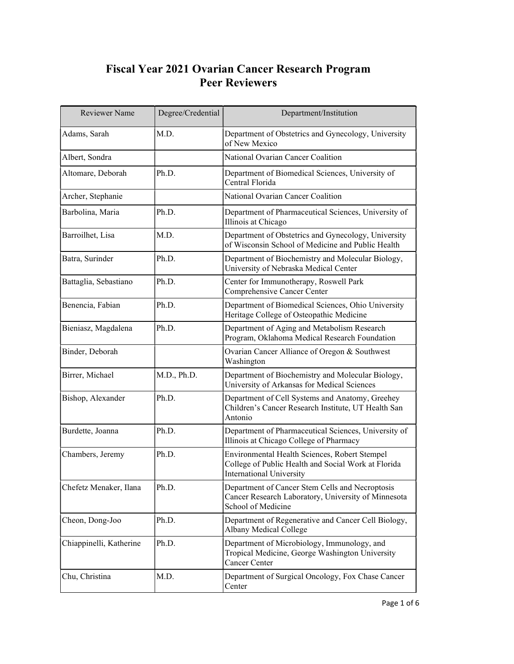## Fiscal Year 2021 Ovarian Cancer Research Program Peer Reviewers

| Reviewer Name           | Degree/Credential | Department/Institution                                                                                                                  |
|-------------------------|-------------------|-----------------------------------------------------------------------------------------------------------------------------------------|
| Adams, Sarah            | M.D.              | Department of Obstetrics and Gynecology, University<br>of New Mexico                                                                    |
| Albert, Sondra          |                   | National Ovarian Cancer Coalition                                                                                                       |
| Altomare, Deborah       | Ph.D.             | Department of Biomedical Sciences, University of<br>Central Florida                                                                     |
| Archer, Stephanie       |                   | National Ovarian Cancer Coalition                                                                                                       |
| Barbolina, Maria        | Ph.D.             | Department of Pharmaceutical Sciences, University of<br>Illinois at Chicago                                                             |
| Barroilhet, Lisa        | M.D.              | Department of Obstetrics and Gynecology, University<br>of Wisconsin School of Medicine and Public Health                                |
| Batra, Surinder         | Ph.D.             | Department of Biochemistry and Molecular Biology,<br>University of Nebraska Medical Center                                              |
| Battaglia, Sebastiano   | Ph.D.             | Center for Immunotherapy, Roswell Park<br>Comprehensive Cancer Center                                                                   |
| Benencia, Fabian        | Ph.D.             | Department of Biomedical Sciences, Ohio University<br>Heritage College of Osteopathic Medicine                                          |
| Bieniasz, Magdalena     | Ph.D.             | Department of Aging and Metabolism Research<br>Program, Oklahoma Medical Research Foundation                                            |
| Binder, Deborah         |                   | Ovarian Cancer Alliance of Oregon & Southwest<br>Washington                                                                             |
| Birrer, Michael         | M.D., Ph.D.       | Department of Biochemistry and Molecular Biology,<br>University of Arkansas for Medical Sciences                                        |
| Bishop, Alexander       | Ph.D.             | Department of Cell Systems and Anatomy, Greehey<br>Children's Cancer Research Institute, UT Health San<br>Antonio                       |
| Burdette, Joanna        | Ph.D.             | Department of Pharmaceutical Sciences, University of<br>Illinois at Chicago College of Pharmacy                                         |
| Chambers, Jeremy        | Ph.D.             | Environmental Health Sciences, Robert Stempel<br>College of Public Health and Social Work at Florida<br><b>International University</b> |
| Chefetz Menaker, Ilana  | Ph.D.             | Department of Cancer Stem Cells and Necroptosis<br>Cancer Research Laboratory, University of Minnesota<br>School of Medicine            |
| Cheon, Dong-Joo         | Ph.D.             | Department of Regenerative and Cancer Cell Biology,<br>Albany Medical College                                                           |
| Chiappinelli, Katherine | Ph.D.             | Department of Microbiology, Immunology, and<br>Tropical Medicine, George Washington University<br>Cancer Center                         |
| Chu, Christina          | M.D.              | Department of Surgical Oncology, Fox Chase Cancer<br>Center                                                                             |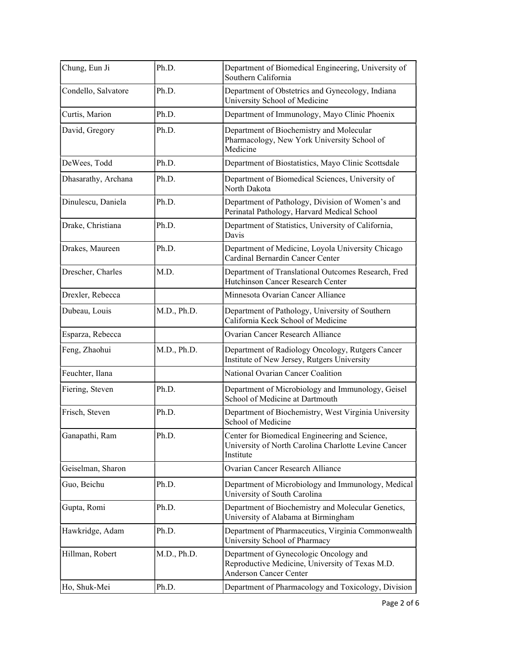| Chung, Eun Ji       | Ph.D.       | Department of Biomedical Engineering, University of<br>Southern California                                                 |
|---------------------|-------------|----------------------------------------------------------------------------------------------------------------------------|
| Condello, Salvatore | Ph.D.       | Department of Obstetrics and Gynecology, Indiana<br>University School of Medicine                                          |
| Curtis, Marion      | Ph.D.       | Department of Immunology, Mayo Clinic Phoenix                                                                              |
| David, Gregory      | Ph.D.       | Department of Biochemistry and Molecular<br>Pharmacology, New York University School of<br>Medicine                        |
| DeWees, Todd        | Ph.D.       | Department of Biostatistics, Mayo Clinic Scottsdale                                                                        |
| Dhasarathy, Archana | Ph.D.       | Department of Biomedical Sciences, University of<br>North Dakota                                                           |
| Dinulescu, Daniela  | Ph.D.       | Department of Pathology, Division of Women's and<br>Perinatal Pathology, Harvard Medical School                            |
| Drake, Christiana   | Ph.D.       | Department of Statistics, University of California,<br>Davis                                                               |
| Drakes, Maureen     | Ph.D.       | Department of Medicine, Loyola University Chicago<br>Cardinal Bernardin Cancer Center                                      |
| Drescher, Charles   | M.D.        | Department of Translational Outcomes Research, Fred<br>Hutchinson Cancer Research Center                                   |
| Drexler, Rebecca    |             | Minnesota Ovarian Cancer Alliance                                                                                          |
| Dubeau, Louis       | M.D., Ph.D. | Department of Pathology, University of Southern<br>California Keck School of Medicine                                      |
| Esparza, Rebecca    |             | <b>Ovarian Cancer Research Alliance</b>                                                                                    |
| Feng, Zhaohui       | M.D., Ph.D. | Department of Radiology Oncology, Rutgers Cancer<br>Institute of New Jersey, Rutgers University                            |
| Feuchter, Ilana     |             | National Ovarian Cancer Coalition                                                                                          |
| Fiering, Steven     | Ph.D.       | Department of Microbiology and Immunology, Geisel<br>School of Medicine at Dartmouth                                       |
| Frisch, Steven      | Ph.D.       | Department of Biochemistry, West Virginia University<br>School of Medicine                                                 |
| Ganapathi, Ram      | Ph.D.       | Center for Biomedical Engineering and Science,<br>University of North Carolina Charlotte Levine Cancer<br>Institute        |
| Geiselman, Sharon   |             | Ovarian Cancer Research Alliance                                                                                           |
| Guo, Beichu         | Ph.D.       | Department of Microbiology and Immunology, Medical<br>University of South Carolina                                         |
| Gupta, Romi         | Ph.D.       | Department of Biochemistry and Molecular Genetics,<br>University of Alabama at Birmingham                                  |
| Hawkridge, Adam     | Ph.D.       | Department of Pharmaceutics, Virginia Commonwealth<br>University School of Pharmacy                                        |
| Hillman, Robert     | M.D., Ph.D. | Department of Gynecologic Oncology and<br>Reproductive Medicine, University of Texas M.D.<br><b>Anderson Cancer Center</b> |
| Ho, Shuk-Mei        | Ph.D.       | Department of Pharmacology and Toxicology, Division                                                                        |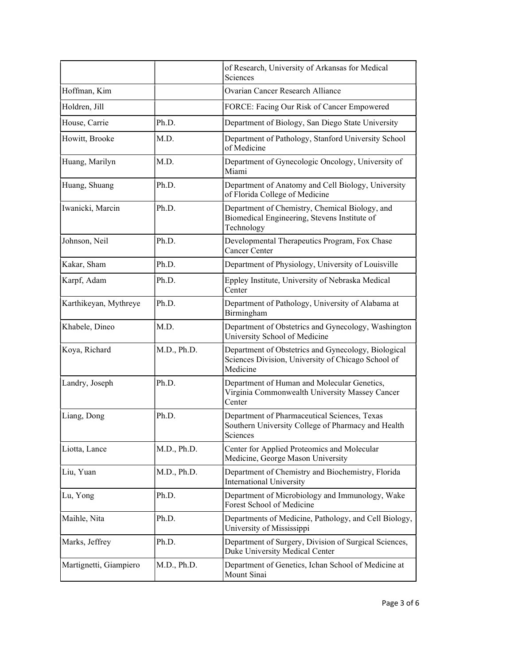|                        |             | of Research, University of Arkansas for Medical<br>Sciences                                                           |
|------------------------|-------------|-----------------------------------------------------------------------------------------------------------------------|
| Hoffman, Kim           |             | Ovarian Cancer Research Alliance                                                                                      |
| Holdren, Jill          |             | FORCE: Facing Our Risk of Cancer Empowered                                                                            |
| House, Carrie          | Ph.D.       | Department of Biology, San Diego State University                                                                     |
| Howitt, Brooke         | M.D.        | Department of Pathology, Stanford University School<br>of Medicine                                                    |
| Huang, Marilyn         | M.D.        | Department of Gynecologic Oncology, University of<br>Miami                                                            |
| Huang, Shuang          | Ph.D.       | Department of Anatomy and Cell Biology, University<br>of Florida College of Medicine                                  |
| Iwanicki, Marcin       | Ph.D.       | Department of Chemistry, Chemical Biology, and<br>Biomedical Engineering, Stevens Institute of<br>Technology          |
| Johnson, Neil          | Ph.D.       | Developmental Therapeutics Program, Fox Chase<br><b>Cancer Center</b>                                                 |
| Kakar, Sham            | Ph.D.       | Department of Physiology, University of Louisville                                                                    |
| Karpf, Adam            | Ph.D.       | Eppley Institute, University of Nebraska Medical<br>Center                                                            |
| Karthikeyan, Mythreye  | Ph.D.       | Department of Pathology, University of Alabama at<br>Birmingham                                                       |
| Khabele, Dineo         | M.D.        | Department of Obstetrics and Gynecology, Washington<br>University School of Medicine                                  |
| Koya, Richard          | M.D., Ph.D. | Department of Obstetrics and Gynecology, Biological<br>Sciences Division, University of Chicago School of<br>Medicine |
| Landry, Joseph         | Ph.D.       | Department of Human and Molecular Genetics,<br>Virginia Commonwealth University Massey Cancer<br>Center               |
| Liang, Dong            | Ph.D.       | Department of Pharmaceutical Sciences, Texas<br>Southern University College of Pharmacy and Health<br>Sciences        |
| Liotta, Lance          | M.D., Ph.D. | Center for Applied Proteomics and Molecular<br>Medicine, George Mason University                                      |
| Liu, Yuan              | M.D., Ph.D. | Department of Chemistry and Biochemistry, Florida<br><b>International University</b>                                  |
| Lu, Yong               | Ph.D.       | Department of Microbiology and Immunology, Wake<br>Forest School of Medicine                                          |
| Maihle, Nita           | Ph.D.       | Departments of Medicine, Pathology, and Cell Biology,<br>University of Mississippi                                    |
| Marks, Jeffrey         | Ph.D.       | Department of Surgery, Division of Surgical Sciences,<br>Duke University Medical Center                               |
| Martignetti, Giampiero | M.D., Ph.D. | Department of Genetics, Ichan School of Medicine at<br>Mount Sinai                                                    |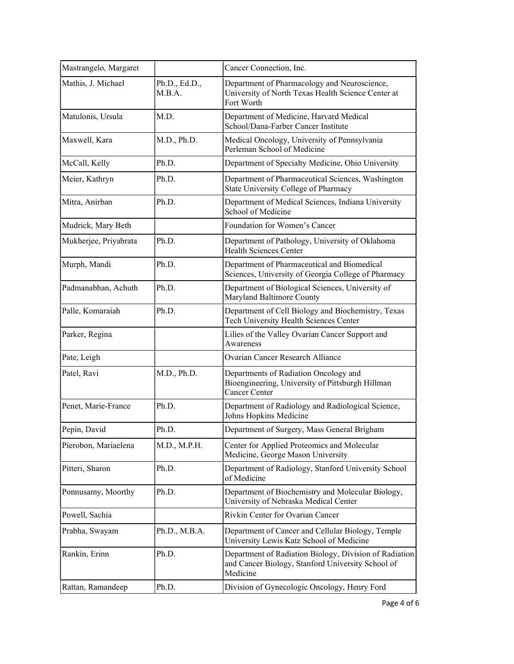| Mastrangelo, Margaret |                         | Cancer Connection, Inc.                                                                                                 |
|-----------------------|-------------------------|-------------------------------------------------------------------------------------------------------------------------|
|                       |                         |                                                                                                                         |
| Mathis, J. Michael    | Ph.D., Ed.D.,<br>M.B.A. | Department of Pharmacology and Neuroscience,<br>University of North Texas Health Science Center at<br>Fort Worth        |
| Matulonis, Ursula     | M.D.                    | Department of Medicine, Harvard Medical<br>School/Dana-Farber Cancer Institute                                          |
| Maxwell, Kara         | M.D., Ph.D.             | Medical Oncology, University of Pennsylvania<br>Perleman School of Medicine                                             |
| McCall, Kelly         | Ph.D.                   | Department of Specialty Medicine, Ohio University                                                                       |
| Meier, Kathryn        | Ph.D.                   | Department of Pharmaceutical Sciences, Washington<br>State University College of Pharmacy                               |
| Mitra, Anirban        | Ph.D.                   | Department of Medical Sciences, Indiana University<br>School of Medicine                                                |
| Mudrick, Mary Beth    |                         | Foundation for Women's Cancer                                                                                           |
| Mukherjee, Priyabrata | Ph.D.                   | Department of Pathology, University of Oklahoma<br><b>Health Sciences Center</b>                                        |
| Murph, Mandi          | Ph.D.                   | Department of Pharmaceutical and Biomedical<br>Sciences, University of Georgia College of Pharmacy                      |
| Padmanabhan, Achuth   | Ph.D.                   | Department of Biological Sciences, University of<br>Maryland Baltimore County                                           |
| Palle, Komaraiah      | Ph.D.                   | Department of Cell Biology and Biochemistry, Texas<br>Tech University Health Sciences Center                            |
| Parker, Regina        |                         | Lilies of the Valley Ovarian Cancer Support and<br>Awareness                                                            |
| Pate, Leigh           |                         | Ovarian Cancer Research Alliance                                                                                        |
| Patel, Ravi           | M.D., Ph.D.             | Departments of Radiation Oncology and<br>Bioengineering, University of Pittsburgh Hillman<br>Cancer Center              |
| Penet, Marie-France   | Ph.D.                   | Department of Radiology and Radiological Science,<br>Johns Hopkins Medicine                                             |
| Pepin, David          | Ph.D.                   | Department of Surgery, Mass General Brigham                                                                             |
| Pierobon, Mariaelena  | M.D., M.P.H.            | Center for Applied Proteomics and Molecular<br>Medicine, George Mason University                                        |
| Pitteri, Sharon       | Ph.D.                   | Department of Radiology, Stanford University School<br>of Medicine                                                      |
| Ponnusamy, Moorthy    | Ph.D.                   | Department of Biochemistry and Molecular Biology,<br>University of Nebraska Medical Center                              |
| Powell, Sachia        |                         | Rivkin Center for Ovarian Cancer                                                                                        |
| Prabha, Swayam        | Ph.D., M.B.A.           | Department of Cancer and Cellular Biology, Temple<br>University Lewis Katz School of Medicine                           |
| Rankin, Erinn         | Ph.D.                   | Department of Radiation Biology, Division of Radiation<br>and Cancer Biology, Stanford University School of<br>Medicine |
| Rattan, Ramandeep     | Ph.D.                   | Division of Gynecologic Oncology, Henry Ford                                                                            |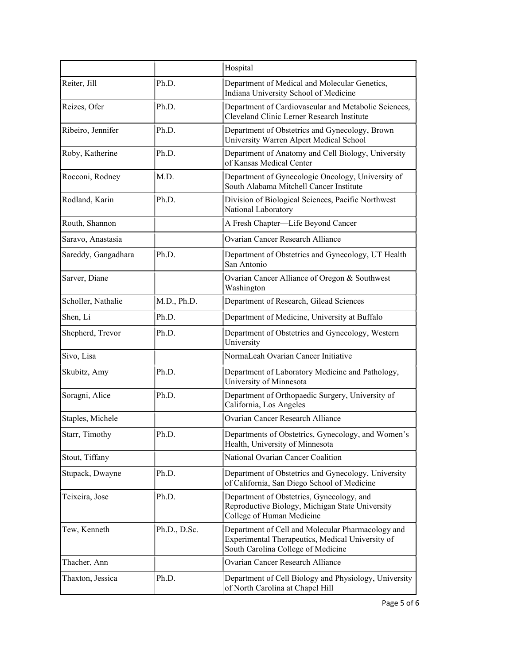|                     |              | Hospital                                                                                                                                    |
|---------------------|--------------|---------------------------------------------------------------------------------------------------------------------------------------------|
| Reiter, Jill        | Ph.D.        | Department of Medical and Molecular Genetics,<br>Indiana University School of Medicine                                                      |
| Reizes, Ofer        | Ph.D.        | Department of Cardiovascular and Metabolic Sciences,<br>Cleveland Clinic Lerner Research Institute                                          |
| Ribeiro, Jennifer   | Ph.D.        | Department of Obstetrics and Gynecology, Brown<br>University Warren Alpert Medical School                                                   |
| Roby, Katherine     | Ph.D.        | Department of Anatomy and Cell Biology, University<br>of Kansas Medical Center                                                              |
| Rocconi, Rodney     | M.D.         | Department of Gynecologic Oncology, University of<br>South Alabama Mitchell Cancer Institute                                                |
| Rodland, Karin      | Ph.D.        | Division of Biological Sciences, Pacific Northwest<br>National Laboratory                                                                   |
| Routh, Shannon      |              | A Fresh Chapter-Life Beyond Cancer                                                                                                          |
| Saravo, Anastasia   |              | <b>Ovarian Cancer Research Alliance</b>                                                                                                     |
| Sareddy, Gangadhara | Ph.D.        | Department of Obstetrics and Gynecology, UT Health<br>San Antonio                                                                           |
| Sarver, Diane       |              | Ovarian Cancer Alliance of Oregon & Southwest<br>Washington                                                                                 |
| Scholler, Nathalie  | M.D., Ph.D.  | Department of Research, Gilead Sciences                                                                                                     |
| Shen, Li            | Ph.D.        | Department of Medicine, University at Buffalo                                                                                               |
| Shepherd, Trevor    | Ph.D.        | Department of Obstetrics and Gynecology, Western<br>University                                                                              |
| Sivo, Lisa          |              | NormaLeah Ovarian Cancer Initiative                                                                                                         |
| Skubitz, Amy        | Ph.D.        | Department of Laboratory Medicine and Pathology,<br>University of Minnesota                                                                 |
| Soragni, Alice      | Ph.D.        | Department of Orthopaedic Surgery, University of<br>California, Los Angeles                                                                 |
| Staples, Michele    |              | Ovarian Cancer Research Alliance                                                                                                            |
| Starr, Timothy      | Ph.D.        | Departments of Obstetrics, Gynecology, and Women's<br>Health, University of Minnesota                                                       |
| Stout, Tiffany      |              | National Ovarian Cancer Coalition                                                                                                           |
| Stupack, Dwayne     | Ph.D.        | Department of Obstetrics and Gynecology, University<br>of California, San Diego School of Medicine                                          |
| Teixeira, Jose      | Ph.D.        | Department of Obstetrics, Gynecology, and<br>Reproductive Biology, Michigan State University<br>College of Human Medicine                   |
| Tew, Kenneth        | Ph.D., D.Sc. | Department of Cell and Molecular Pharmacology and<br>Experimental Therapeutics, Medical University of<br>South Carolina College of Medicine |
| Thacher, Ann        |              | <b>Ovarian Cancer Research Alliance</b>                                                                                                     |
| Thaxton, Jessica    | Ph.D.        | Department of Cell Biology and Physiology, University<br>of North Carolina at Chapel Hill                                                   |